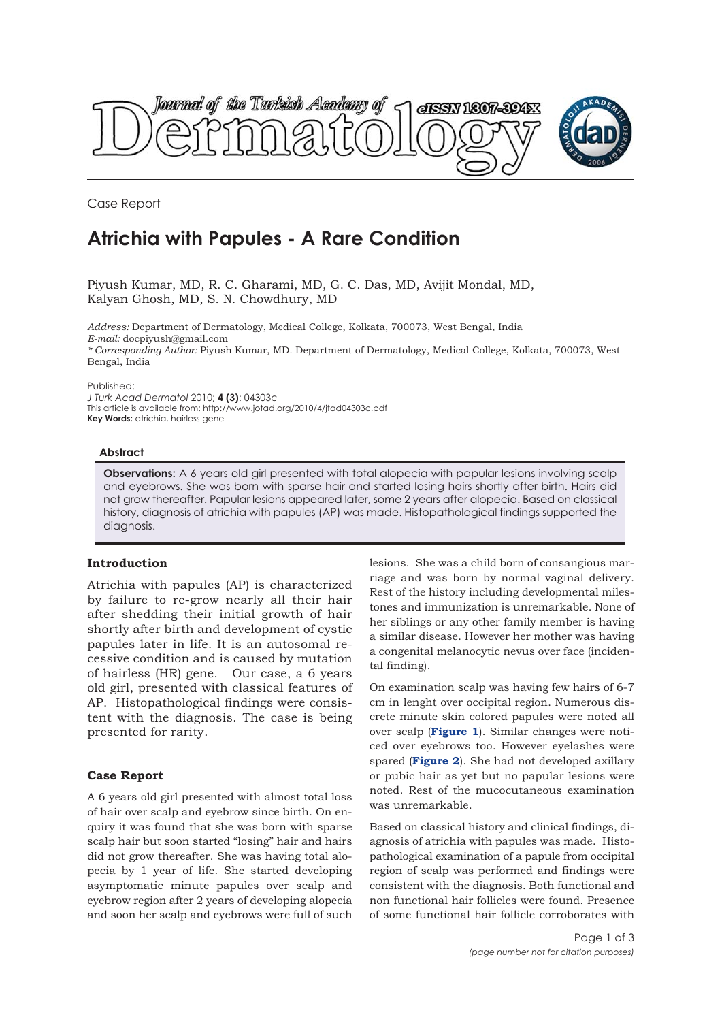

Case Report

# **Atrichia with Papules - A Rare Condition**

Piyush Kumar, MD, R. C. Gharami, MD, G. C. Das, MD, Avijit Mondal, MD, Kalyan Ghosh, MD, S. N. Chowdhury, MD

*Address:* Department of Dermatology, Medical College, Kolkata, 700073, West Bengal, India *E-mail:* docpiyush@gmail.com *\* Corresponding Author:* Piyush Kumar, MD. Department of Dermatology, Medical College, Kolkata, 700073, West Bengal, India

Published:

*J Turk Acad Dermatol* 2010; **4 (3)**: 04303c This article is available from: http://www.jotad.org/2010/4/jtad04303c.pdf **Key Words:** atrichia, hairless gene

#### **Abstract**

**Observations:** A 6 years old girl presented with total alopecia with papular lesions involving scalp and eyebrows. She was born with sparse hair and started losing hairs shortly after birth. Hairs did not grow thereafter. Papular lesions appeared later, some 2 years after alopecia. Based on classical history, diagnosis of atrichia with papules (AP) was made. Histopathological findings supported the diagnosis.

# **Introduction**

Atrichia with papules (AP) is characterized by failure to re-grow nearly all their hair after shedding their initial growth of hair shortly after birth and development of cystic papules later in life. It is an autosomal recessive condition and is caused by mutation of hairless (HR) gene. Our case, a 6 years old girl, presented with classical features of AP. Histopathological findings were consistent with the diagnosis. The case is being presented for rarity.

# **Case Report**

A 6 years old girl presented with almost total loss of hair over scalp and eyebrow since birth. On enquiry it was found that she was born with sparse scalp hair but soon started "losing" hair and hairs did not grow thereafter. She was having total alopecia by 1 year of life. She started developing asymptomatic minute papules over scalp and eyebrow region after 2 years of developing alopecia and soon her scalp and eyebrows were full of such

lesions. She was a child born of consangious marriage and was born by normal vaginal delivery. Rest of the history including developmental milestones and immunization is unremarkable. None of her siblings or any other family member is having a similar disease. However her mother was having a congenital melanocytic nevus over face (incidental finding).

On examination scalp was having few hairs of 6-7 cm in lenght over occipital region. Numerous discrete minute skin colored papules were noted all over scalp (**Figure 1**). Similar changes were noticed over eyebrows too. However eyelashes were spared (**Figure 2**). She had not developed axillary or pubic hair as yet but no papular lesions were noted. Rest of the mucocutaneous examination was unremarkable.

Based on classical history and clinical findings, diagnosis of atrichia with papules was made. Histopathological examination of a papule from occipital region of scalp was performed and findings were consistent with the diagnosis. Both functional and non functional hair follicles were found. Presence of some functional hair follicle corroborates with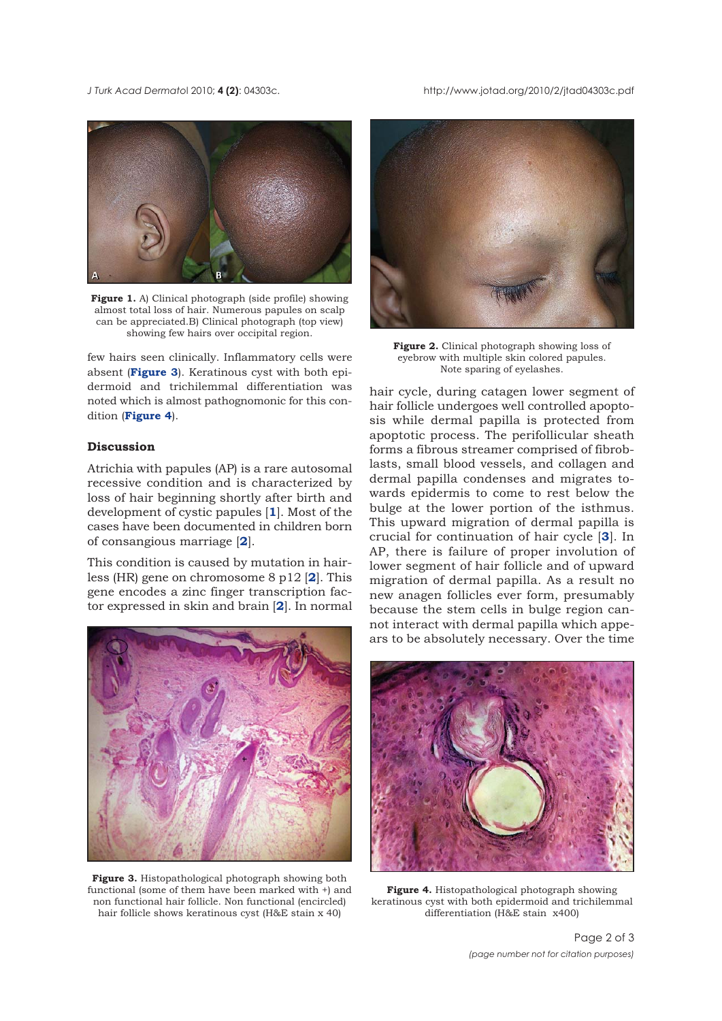*J Turk Acad Dermato*l 2010; **4 (2)**: 04303c. http://www.jotad.org/2010/2/jtad04303c.pdf



**Figure 1.** A) Clinical photograph (side profile) showing almost total loss of hair. Numerous papules on scalp can be appreciated.B) Clinical photograph (top view) showing few hairs over occipital region.

few hairs seen clinically. Inflammatory cells were absent (**Figure 3**). Keratinous cyst with both epidermoid and trichilemmal differentiation was noted which is almost pathognomonic for this condition (**Figure 4**).

### **Discussion**

Atrichia with papules (AP) is a rare autosomal recessive condition and is characterized by loss of hair beginning shortly after birth and development of cystic papules [**1**]. Most of the cases have been documented in children born of consangious marriage [**2**].

This condition is caused by mutation in hairless (HR) gene on chromosome 8 p12 [**2**]. This gene encodes a zinc finger transcription factor expressed in skin and brain [**2**]. In normal



**Figure 3.** Histopathological photograph showing both functional (some of them have been marked with +) and non functional hair follicle. Non functional (encircled) hair follicle shows keratinous cyst (H&E stain x 40)



**Figure 2.** Clinical photograph showing loss of eyebrow with multiple skin colored papules. Note sparing of eyelashes.

hair cycle, during catagen lower segment of hair follicle undergoes well controlled apoptosis while dermal papilla is protected from apoptotic process. The perifollicular sheath forms a fibrous streamer comprised of fibroblasts, small blood vessels, and collagen and dermal papilla condenses and migrates towards epidermis to come to rest below the bulge at the lower portion of the isthmus. This upward migration of dermal papilla is crucial for continuation of hair cycle [**3**]. In AP, there is failure of proper involution of lower segment of hair follicle and of upward migration of dermal papilla. As a result no new anagen follicles ever form, presumably because the stem cells in bulge region cannot interact with dermal papilla which appears to be absolutely necessary. Over the time



**Figure 4.** Histopathological photograph showing keratinous cyst with both epidermoid and trichilemmal differentiation (H&E stain x400)